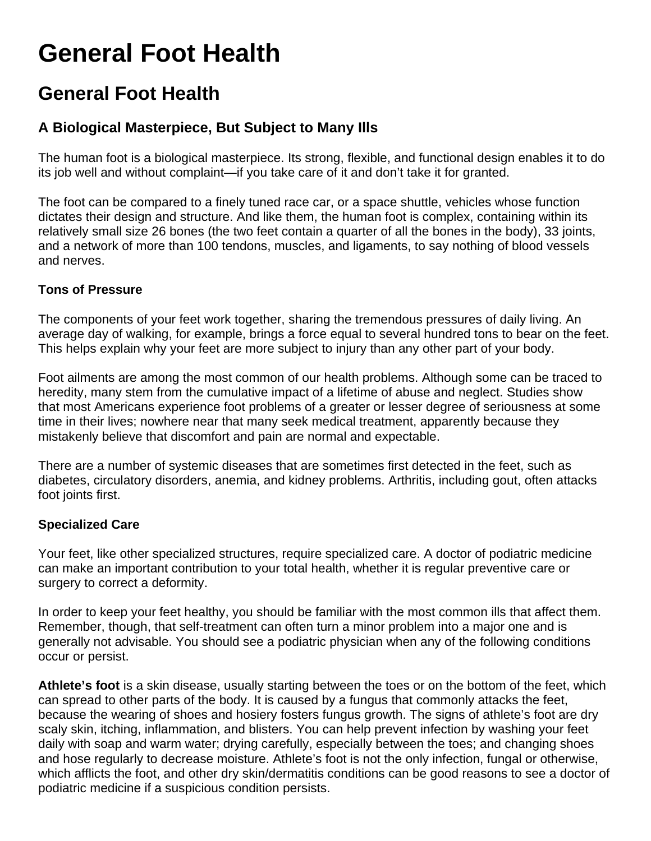# **General Foot Health**

# **General Foot Health**

### **A Biological Masterpiece, But Subject to Many Ills**

The human foot is a biological masterpiece. Its strong, flexible, and functional design enables it to do its job well and without complaint—if you take care of it and don't take it for granted.

The foot can be compared to a finely tuned race car, or a space shuttle, vehicles whose function dictates their design and structure. And like them, the human foot is complex, containing within its relatively small size 26 bones (the two feet contain a quarter of all the bones in the body), 33 joints, and a network of more than 100 tendons, muscles, and ligaments, to say nothing of blood vessels and nerves.

#### **Tons of Pressure**

The components of your feet work together, sharing the tremendous pressures of daily living. An average day of walking, for example, brings a force equal to several hundred tons to bear on the feet. This helps explain why your feet are more subject to injury than any other part of your body.

Foot ailments are among the most common of our health problems. Although some can be traced to heredity, many stem from the cumulative impact of a lifetime of abuse and neglect. Studies show that most Americans experience foot problems of a greater or lesser degree of seriousness at some time in their lives; nowhere near that many seek medical treatment, apparently because they mistakenly believe that discomfort and pain are normal and expectable.

There are a number of systemic diseases that are sometimes first detected in the feet, such as diabetes, circulatory disorders, anemia, and kidney problems. Arthritis, including gout, often attacks foot joints first.

#### **Specialized Care**

Your feet, like other specialized structures, require specialized care. A doctor of podiatric medicine can make an important contribution to your total health, whether it is regular preventive care or surgery to correct a deformity.

In order to keep your feet healthy, you should be familiar with the most common ills that affect them. Remember, though, that self-treatment can often turn a minor problem into a major one and is generally not advisable. You should see a podiatric physician when any of the following conditions occur or persist.

**Athlete's foot** is a skin disease, usually starting between the toes or on the bottom of the feet, which can spread to other parts of the body. It is caused by a fungus that commonly attacks the feet, because the wearing of shoes and hosiery fosters fungus growth. The signs of athlete's foot are dry scaly skin, itching, inflammation, and blisters. You can help prevent infection by washing your feet daily with soap and warm water; drying carefully, especially between the toes; and changing shoes and hose regularly to decrease moisture. Athlete's foot is not the only infection, fungal or otherwise, which afflicts the foot, and other dry skin/dermatitis conditions can be good reasons to see a doctor of podiatric medicine if a suspicious condition persists.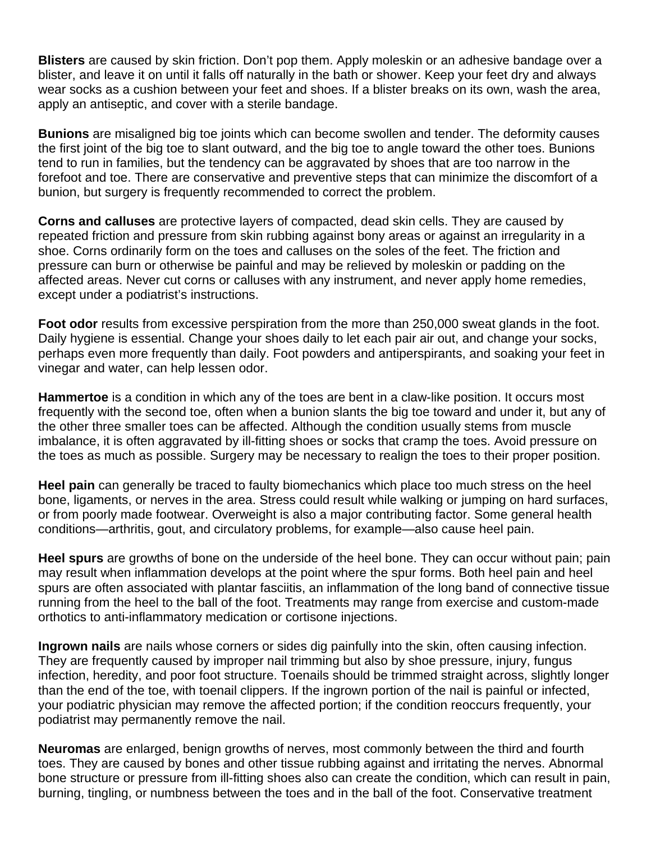**Blisters** are caused by skin friction. Don't pop them. Apply moleskin or an adhesive bandage over a blister, and leave it on until it falls off naturally in the bath or shower. Keep your feet dry and always wear socks as a cushion between your feet and shoes. If a blister breaks on its own, wash the area, apply an antiseptic, and cover with a sterile bandage.

**Bunions** are misaligned big toe joints which can become swollen and tender. The deformity causes the first joint of the big toe to slant outward, and the big toe to angle toward the other toes. Bunions tend to run in families, but the tendency can be aggravated by shoes that are too narrow in the forefoot and toe. There are conservative and preventive steps that can minimize the discomfort of a bunion, but surgery is frequently recommended to correct the problem.

**Corns and calluses** are protective layers of compacted, dead skin cells. They are caused by repeated friction and pressure from skin rubbing against bony areas or against an irregularity in a shoe. Corns ordinarily form on the toes and calluses on the soles of the feet. The friction and pressure can burn or otherwise be painful and may be relieved by moleskin or padding on the affected areas. Never cut corns or calluses with any instrument, and never apply home remedies, except under a podiatrist's instructions.

**Foot odor** results from excessive perspiration from the more than 250,000 sweat glands in the foot. Daily hygiene is essential. Change your shoes daily to let each pair air out, and change your socks, perhaps even more frequently than daily. Foot powders and antiperspirants, and soaking your feet in vinegar and water, can help lessen odor.

**Hammertoe** is a condition in which any of the toes are bent in a claw-like position. It occurs most frequently with the second toe, often when a bunion slants the big toe toward and under it, but any of the other three smaller toes can be affected. Although the condition usually stems from muscle imbalance, it is often aggravated by ill-fitting shoes or socks that cramp the toes. Avoid pressure on the toes as much as possible. Surgery may be necessary to realign the toes to their proper position.

**Heel pain** can generally be traced to faulty biomechanics which place too much stress on the heel bone, ligaments, or nerves in the area. Stress could result while walking or jumping on hard surfaces, or from poorly made footwear. Overweight is also a major contributing factor. Some general health conditions—arthritis, gout, and circulatory problems, for example—also cause heel pain.

**Heel spurs** are growths of bone on the underside of the heel bone. They can occur without pain; pain may result when inflammation develops at the point where the spur forms. Both heel pain and heel spurs are often associated with plantar fasciitis, an inflammation of the long band of connective tissue running from the heel to the ball of the foot. Treatments may range from exercise and custom-made orthotics to anti-inflammatory medication or cortisone injections.

**Ingrown nails** are nails whose corners or sides dig painfully into the skin, often causing infection. They are frequently caused by improper nail trimming but also by shoe pressure, injury, fungus infection, heredity, and poor foot structure. Toenails should be trimmed straight across, slightly longer than the end of the toe, with toenail clippers. If the ingrown portion of the nail is painful or infected, your podiatric physician may remove the affected portion; if the condition reoccurs frequently, your podiatrist may permanently remove the nail.

**Neuromas** are enlarged, benign growths of nerves, most commonly between the third and fourth toes. They are caused by bones and other tissue rubbing against and irritating the nerves. Abnormal bone structure or pressure from ill-fitting shoes also can create the condition, which can result in pain, burning, tingling, or numbness between the toes and in the ball of the foot. Conservative treatment